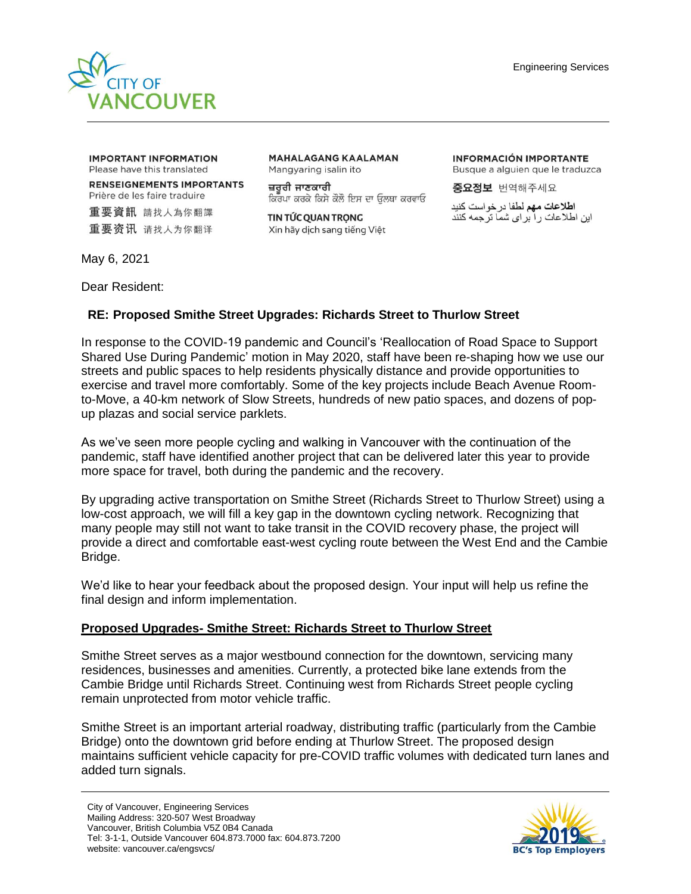

**IMPORTANT INFORMATION** Please have this translated

**RENSEIGNEMENTS IMPORTANTS** Prière de les faire traduire

重要資訊 請找人為你翻譯 重要资讯 请找人为你翻译 **MAHALAGANG KAALAMAN** Mangyaring isalin ito

ਜ਼ਰਰੀ ਜਾਣਕਾਰੀ ਕਿਰਪਾ ਕਰਕੇ ਕਿਸੇ ਕੋਲੋ ਇਸ ਦਾ ਉਲਥਾ ਕਰਵਾਓ

TIN TỨC QUAN TRỌNG Xin hãy dịch sang tiếng Việt **INFORMACIÓN IMPORTANTE** Busque a alguien que le traduzca

중요정보 번역해주세요

ا**طلاعات مهم** لطفا در خو است کنید این اطلاعات را برای شما ترجمه کنند

May 6, 2021

Dear Resident:

## **RE: Proposed Smithe Street Upgrades: Richards Street to Thurlow Street**

In response to the COVID-19 pandemic and Council's 'Reallocation of Road Space to Support Shared Use During Pandemic' motion in May 2020, staff have been re-shaping how we use our streets and public spaces to help residents physically distance and provide opportunities to exercise and travel more comfortably. Some of the key projects include Beach Avenue Roomto-Move, a 40-km network of Slow Streets, hundreds of new patio spaces, and dozens of popup plazas and social service parklets.

As we've seen more people cycling and walking in Vancouver with the continuation of the pandemic, staff have identified another project that can be delivered later this year to provide more space for travel, both during the pandemic and the recovery.

By upgrading active transportation on Smithe Street (Richards Street to Thurlow Street) using a low-cost approach, we will fill a key gap in the downtown cycling network. Recognizing that many people may still not want to take transit in the COVID recovery phase, the project will provide a direct and comfortable east-west cycling route between the West End and the Cambie Bridge.

We'd like to hear your feedback about the proposed design. Your input will help us refine the final design and inform implementation.

## **Proposed Upgrades- Smithe Street: Richards Street to Thurlow Street**

Smithe Street serves as a major westbound connection for the downtown, servicing many residences, businesses and amenities. Currently, a protected bike lane extends from the Cambie Bridge until Richards Street. Continuing west from Richards Street people cycling remain unprotected from motor vehicle traffic.

Smithe Street is an important arterial roadway, distributing traffic (particularly from the Cambie Bridge) onto the downtown grid before ending at Thurlow Street. The proposed design maintains sufficient vehicle capacity for pre-COVID traffic volumes with dedicated turn lanes and added turn signals.

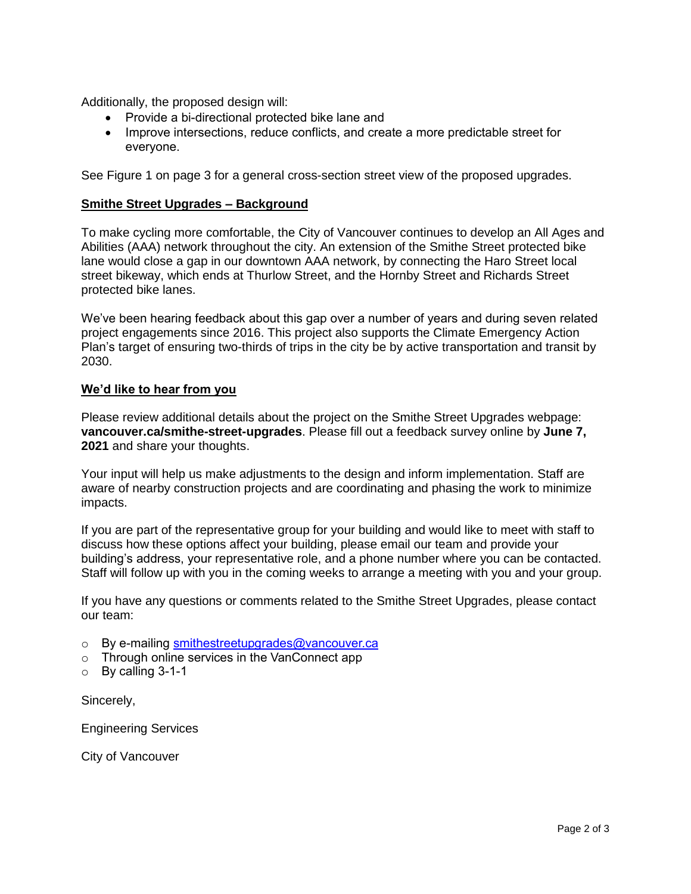Additionally, the proposed design will:

- Provide a bi-directional protected bike lane and
- Improve intersections, reduce conflicts, and create a more predictable street for everyone.

See Figure 1 on page 3 for a general cross-section street view of the proposed upgrades.

## **Smithe Street Upgrades – Background**

To make cycling more comfortable, the City of Vancouver continues to develop an All Ages and Abilities (AAA) network throughout the city. An extension of the Smithe Street protected bike lane would close a gap in our downtown AAA network, by connecting the Haro Street local street bikeway, which ends at Thurlow Street, and the Hornby Street and Richards Street protected bike lanes.

We've been hearing feedback about this gap over a number of years and during seven related project engagements since 2016. This project also supports the Climate Emergency Action Plan's target of ensuring two-thirds of trips in the city be by active transportation and transit by 2030.

## **We'd like to hear from you**

Please review additional details about the project on the Smithe Street Upgrades webpage: **vancouver.ca/smithe-street-upgrades**. Please fill out a feedback survey online by **June 7, 2021** and share your thoughts.

Your input will help us make adjustments to the design and inform implementation. Staff are aware of nearby construction projects and are coordinating and phasing the work to minimize impacts.

If you are part of the representative group for your building and would like to meet with staff to discuss how these options affect your building, please email our team and provide your building's address, your representative role, and a phone number where you can be contacted. Staff will follow up with you in the coming weeks to arrange a meeting with you and your group.

If you have any questions or comments related to the Smithe Street Upgrades, please contact our team:

- $\circ$  By e-mailing [smithestreetupgrades@vancouver.ca](mailto:smithestreetupgrades@vancouver.ca)
- o Through online services in the VanConnect app
- $\circ$  By calling 3-1-1

Sincerely,

Engineering Services

City of Vancouver